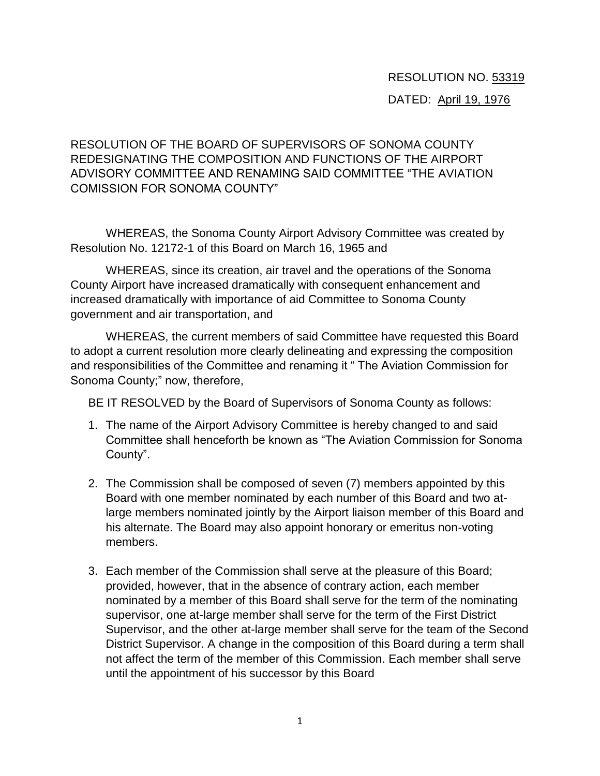## RESOLUTION NO. 53319

## DATED: April 19, 1976

RESOLUTION OF THE BOARD OF SUPERVISORS OF SONOMA COUNTY REDESIGNATING THE COMPOSITION AND FUNCTIONS OF THE AIRPORT ADVISORY COMMITTEE AND RENAMING SAID COMMITTEE "THE AVIATION COMISSION FOR SONOMA COUNTY"

WHEREAS, the Sonoma County Airport Advisory Committee was created by Resolution No. 12172-1 of this Board on March 16, 1965 and

WHEREAS, since its creation, air travel and the operations of the Sonoma County Airport have increased dramatically with consequent enhancement and increased dramatically with importance of aid Committee to Sonoma County government and air transportation, and

WHEREAS, the current members of said Committee have requested this Board to adopt a current resolution more clearly delineating and expressing the composition and responsibilities of the Committee and renaming it " The Aviation Commission for Sonoma County;" now, therefore,

BE IT RESOLVED by the Board of Supervisors of Sonoma County as follows:

- 1. The name of the Airport Advisory Committee is hereby changed to and said Committee shall henceforth be known as "The Aviation Commission for Sonoma County".
- 2. The Commission shall be composed of seven (7) members appointed by this Board with one member nominated by each number of this Board and two atlarge members nominated jointly by the Airport liaison member of this Board and his alternate. The Board may also appoint honorary or emeritus non-voting members.
- 3. Each member of the Commission shall serve at the pleasure of this Board; provided, however, that in the absence of contrary action, each member nominated by a member of this Board shall serve for the term of the nominating supervisor, one at-large member shall serve for the term of the First District Supervisor, and the other at-large member shall serve for the team of the Second District Supervisor. A change in the composition of this Board during a term shall not affect the term of the member of this Commission. Each member shall serve until the appointment of his successor by this Board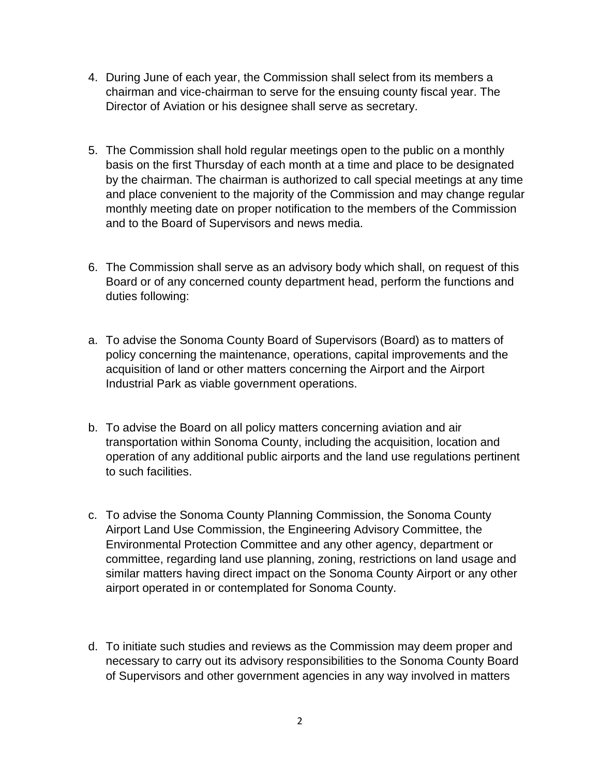- 4. During June of each year, the Commission shall select from its members a chairman and vice-chairman to serve for the ensuing county fiscal year. The Director of Aviation or his designee shall serve as secretary.
- 5. The Commission shall hold regular meetings open to the public on a monthly basis on the first Thursday of each month at a time and place to be designated by the chairman. The chairman is authorized to call special meetings at any time and place convenient to the majority of the Commission and may change regular monthly meeting date on proper notification to the members of the Commission and to the Board of Supervisors and news media.
- 6. The Commission shall serve as an advisory body which shall, on request of this Board or of any concerned county department head, perform the functions and duties following:
- a. To advise the Sonoma County Board of Supervisors (Board) as to matters of policy concerning the maintenance, operations, capital improvements and the acquisition of land or other matters concerning the Airport and the Airport Industrial Park as viable government operations.
- b. To advise the Board on all policy matters concerning aviation and air transportation within Sonoma County, including the acquisition, location and operation of any additional public airports and the land use regulations pertinent to such facilities.
- c. To advise the Sonoma County Planning Commission, the Sonoma County Airport Land Use Commission, the Engineering Advisory Committee, the Environmental Protection Committee and any other agency, department or committee, regarding land use planning, zoning, restrictions on land usage and similar matters having direct impact on the Sonoma County Airport or any other airport operated in or contemplated for Sonoma County.
- d. To initiate such studies and reviews as the Commission may deem proper and necessary to carry out its advisory responsibilities to the Sonoma County Board of Supervisors and other government agencies in any way involved in matters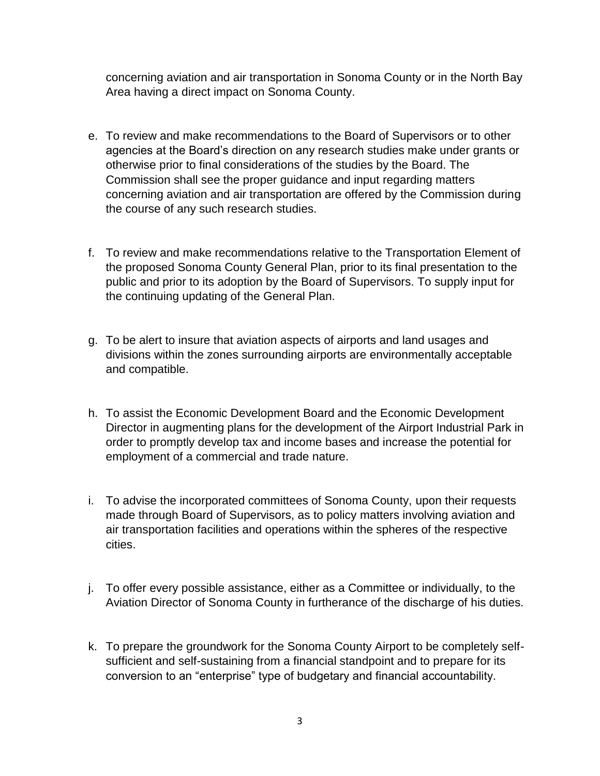concerning aviation and air transportation in Sonoma County or in the North Bay Area having a direct impact on Sonoma County.

- e. To review and make recommendations to the Board of Supervisors or to other agencies at the Board's direction on any research studies make under grants or otherwise prior to final considerations of the studies by the Board. The Commission shall see the proper guidance and input regarding matters concerning aviation and air transportation are offered by the Commission during the course of any such research studies.
- f. To review and make recommendations relative to the Transportation Element of the proposed Sonoma County General Plan, prior to its final presentation to the public and prior to its adoption by the Board of Supervisors. To supply input for the continuing updating of the General Plan.
- g. To be alert to insure that aviation aspects of airports and land usages and divisions within the zones surrounding airports are environmentally acceptable and compatible.
- h. To assist the Economic Development Board and the Economic Development Director in augmenting plans for the development of the Airport Industrial Park in order to promptly develop tax and income bases and increase the potential for employment of a commercial and trade nature.
- i. To advise the incorporated committees of Sonoma County, upon their requests made through Board of Supervisors, as to policy matters involving aviation and air transportation facilities and operations within the spheres of the respective cities.
- j. To offer every possible assistance, either as a Committee or individually, to the Aviation Director of Sonoma County in furtherance of the discharge of his duties.
- k. To prepare the groundwork for the Sonoma County Airport to be completely selfsufficient and self-sustaining from a financial standpoint and to prepare for its conversion to an "enterprise" type of budgetary and financial accountability.